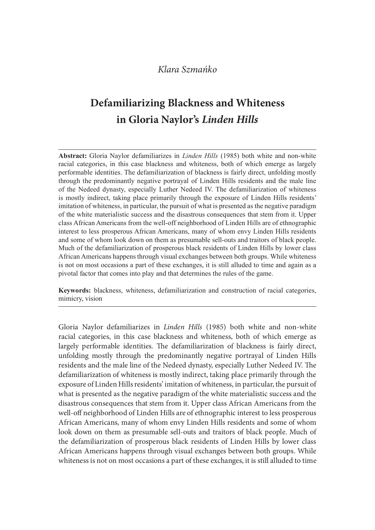# Defamiliarizing Blackness and Whiteness in Gloria Naylor's Linden Hills

Klara Szmańko<br> **Defamiliarizing Blackness and Whiteness**<br> **in Gloria Naylor's Linden Hills**<br> **Abstract:** Gloria Naylor defamiliarizes in *Linden Hills* (1985) both white and non-white<br>
racial categories, in this case backn racial categories, in this case blackness and whiteness, both of which emerge as largely performable identities. The defamiliarization of blackness is fairly direct, unfolding mostly Klara Szmańko<br> **Defamiliarizing Blackness and Whiteness**<br> **in Gloria Naylor's Linden Hills**<br>
Abstract: Gloria Naylor defamiliarizes in *Linden Hills* (1985) both white and non-white<br>
racial categoris, in this case backness of the Nedeed dynasty, especially Luther Nedeed IV. The defamiliarization of whiteness is mostly indirect, taking place primarily through the exposure of Linden Hills residents' imitation of whiteness, in particular, the pursuit of what is presented as the negative paradigm of the white materialistic success and the disastrous consequences that stem from it. Upper class African Americans from the well-off neighborhood of Linden Hills are of ethnographic interest to less prosperous African Americans, many of whom envy Linden Hills residents and some of whom look down on them as presumable sell-outs and traitors of black people. Much of the defamiliarization of prosperous black residents of Linden Hills by lower class African Americans happens through visual exchanges between both groups. While whiteness is not on most occasions a part of these exchanges, it is still alluded to time and again as a pivotal factor that comes into play and that determines the rules of the game. Abstract: Gloria Naylor defamiliarizes in *Linden Hills* (1985) both white and non-white are<br>practic categories, in this case blackness and whiteness, both of which emerge as largely<br>performable identities. The defamiliari

mimicry, vision

Gloria Naylor defamiliarizes in Linden Hills (1985) both white and non-white racial categories, in this case blackness and whiteness, both of which emerge as largely performable identities. The defamiliarization of blackness is fairly direct, unfolding mostly through the predominantly negative portrayal of Linden Hills residents and the male line of the Nedeed dynasty, especially Luther Nedeed IV. The defamiliarization of whiteness is mostly indirect, taking place primarily through the exposure of Linden Hills residents' imitation of whiteness, in particular, the pursuit of what is presented as the negative paradigm of the white materialistic success and the disastrous consequences that stem from it. Upper class African Americans from the well-off neighborhood of Linden Hills are of ethnographic interest to less prosperous African Americans, many of whom envy Linden Hills residents and some of whom look down on them as presumable sell-outs and traitors of black people. Much of the defamiliarization of prosperous black residents of Linden Hills by lower class African Americans happens through visual exchanges between both groups. While whiteness is not on most occasions a part of these exchanges, it is still alluded to time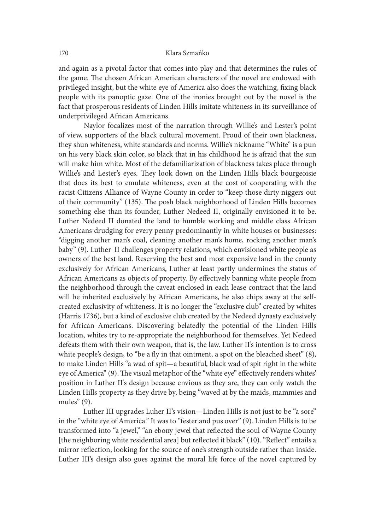and again as a pivotal factor that comes into play and that determines the rules of the game. The chosen African American characters of the novel are endowed with privileged insight, but the white eye of America also does the watching, fixing black people with its panoptic gaze. One of the ironies brought out by the novel is the fact that prosperous residents of Linden Hills imitate whiteness in its surveillance of underprivileged African Americans.

 Naylor focalizes most of the narration through Willie's and Lester's point of view, supporters of the black cultural movement. Proud of their own blackness, they shun whiteness, white standards and norms. Willie's nickname "White" is a pun on his very black skin color, so black that in his childhood he is afraid that the sun will make him white. Most of the defamiliarization of blackness takes place through Willie's and Lester's eyes. They look down on the Linden Hills black bourgeoisie that does its best to emulate whiteness, even at the cost of cooperating with the racist Citizens Alliance of Wayne County in order to "keep those dirty niggers out of their community" (135). The posh black neighborhood of Linden Hills becomes something else than its founder, Luther Nedeed II, originally envisioned it to be. Luther Nedeed II donated the land to humble working and middle class African Americans drudging for every penny predominantly in white houses or businesses: "digging another man's coal, cleaning another man's home, rocking another man's baby" (9). Luther II challenges property relations, which envisioned white people as owners of the best land. Reserving the best and most expensive land in the county exclusively for African Americans, Luther at least partly undermines the status of African Americans as objects of property. By effectively banning white people from the neighborhood through the caveat enclosed in each lease contract that the land will be inherited exclusively by African Americans, he also chips away at the selfcreated exclusivity of whiteness. It is no longer the "exclusive club" created by whites (Harris 1736), but a kind of exclusive club created by the Nedeed dynasty exclusively for African Americans. Discovering belatedly the potential of the Linden Hills location, whites try to re-appropriate the neighborhood for themselves. Yet Nedeed defeats them with their own weapon, that is, the law. Luther II's intention is to cross white people's design, to "be a fly in that ointment, a spot on the bleached sheet"  $(8)$ , to make Linden Hills "a wad of spit—a beautiful, black wad of spit right in the white eye of America" (9). The visual metaphor of the "white eye" effectively renders whites' position in Luther II's design because envious as they are, they can only watch the Linden Hills property as they drive by, being "waved at by the maids, mammies and mules" (9).

Luther III upgrades Luher II's vision—Linden Hills is not just to be "a sore" in the "white eye of America." It was to "fester and pus over" (9). Linden Hills is to be transformed into "a jewel," "an ebony jewel that reflected the soul of Wayne County [the neighboring white residential area] but reflected it black" (10). "Reflect" entails a mirror reflection, looking for the source of one's strength outside rather than inside. Luther III's design also goes against the moral life force of the novel captured by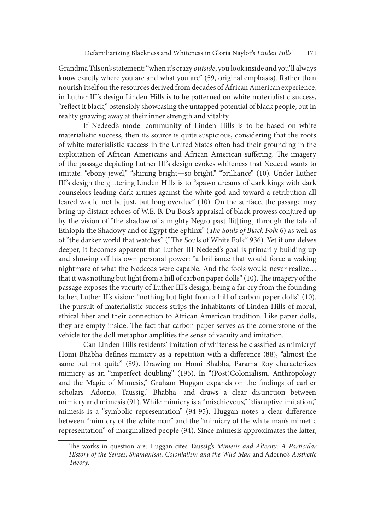Grandma Tilson's statement: "when it's crazy outside, you look inside and you'll always know exactly where you are and what you are" (59, original emphasis). Rather than nourish itself on the resources derived from decades of African American experience, in Luther III's design Linden Hills is to be patterned on white materialistic success, "reflect it black," ostensibly showcasing the untapped potential of black people, but in reality gnawing away at their inner strength and vitality.

If Nedeed's model community of Linden Hills is to be based on white materialistic success, then its source is quite suspicious, considering that the roots of white materialistic success in the United States oten had their grounding in the exploitation of African Americans and African American suffering. The imagery of the passage depicting Luther III's design evokes whiteness that Nedeed wants to imitate: "ebony jewel," "shining bright—so bright," "brilliance" (10). Under Luther III's design the glittering Linden Hills is to "spawn dreams of dark kings with dark counselors leading dark armies against the white god and toward a retribution all feared would not be just, but long overdue" (10). On the surface, the passage may bring up distant echoes of W.E. B. Du Bois's appraisal of black prowess conjured up by the vision of "the shadow of a mighty Negro past flit[ting] through the tale of Ethiopia the Shadowy and of Egypt the Sphinx" (The Souls of Black Folk 6) as well as of "the darker world that watches" ("The Souls of White Folk" 936). Yet if one delves deeper, it becomes apparent that Luther III Nedeed's goal is primarily building up and showing off his own personal power: "a brilliance that would force a waking nightmare of what the Nedeeds were capable. And the fools would never realize… that it was nothing but light from a hill of carbon paper dolls" (10). The imagery of the passage exposes the vacuity of Luther III's design, being a far cry from the founding father, Luther II's vision: "nothing but light from a hill of carbon paper dolls" (10). The pursuit of materialistic success strips the inhabitants of Linden Hills of moral, ethical fiber and their connection to African American tradition. Like paper dolls, they are empty inside. The fact that carbon paper serves as the cornerstone of the vehicle for the doll metaphor amplifies the sense of vacuity and imitation.

Can Linden Hills residents' imitation of whiteness be classified as mimicry? Homi Bhabha defines mimicry as a repetition with a difference (88), "almost the same but not quite" (89). Drawing on Homi Bhabha, Parama Roy characterizes mimicry as an "imperfect doubling" (195). In "(Post)Colonialism, Anthropology and the Magic of Mimesis," Graham Huggan expands on the findings of earlier scholars—Adorno, Taussig,<sup>1</sup> Bhabha—and draws a clear distinction between mimicry and mimesis (91). While mimicry is a "mischievous," "disruptive imitation," mimesis is a "symbolic representation" (94-95). Huggan notes a clear difference between "mimicry of the white man" and the "mimicry of the white man's mimetic representation" of marginalized people (94). Since mimesis approximates the latter,

The works in question are: Huggan cites Taussig's Mimesis and Alterity: A Particular History of the Senses; Shamanism, Colonialism and the Wild Man and Adorno's Aesthetic Theory.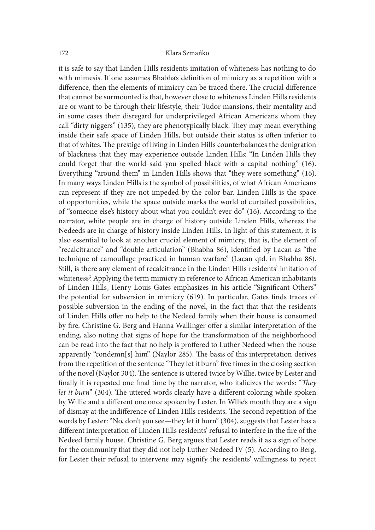it is safe to say that Linden Hills residents imitation of whiteness has nothing to do with mimesis. If one assumes Bhabha's definition of mimicry as a repetition with a difference, then the elements of mimicry can be traced there. The crucial difference that cannot be surmounted is that, however close to whiteness Linden Hills residents are or want to be through their lifestyle, their Tudor mansions, their mentality and in some cases their disregard for underprivileged African Americans whom they call "dirty niggers" (135), they are phenotypically black. They may mean everything inside their safe space of Linden Hills, but outside their status is oten inferior to that of whites. The prestige of living in Linden Hills counterbalances the denigration of blackness that they may experience outside Linden Hills: "In Linden Hills they could forget that the world said you spelled black with a capital nothing" (16). Everything "around them" in Linden Hills shows that "they were something" (16). In many ways Linden Hills is the symbol of possibilities, of what African Americans can represent if they are not impeded by the color bar. Linden Hills is the space of opportunities, while the space outside marks the world of curtailed possibilities, of "someone else's history about what you couldn't ever do" (16). According to the narrator, white people are in charge of history outside Linden Hills, whereas the Nedeeds are in charge of history inside Linden Hills. In light of this statement, it is also essential to look at another crucial element of mimicry, that is, the element of "recalcitrance" and "double articulation" (Bhabha 86), identified by Lacan as "the technique of camouflage practiced in human warfare" (Lacan qtd. in Bhabha 86). Still, is there any element of recalcitrance in the Linden Hills residents' imitation of whiteness? Applying the term mimicry in reference to African American inhabitants of Linden Hills, Henry Louis Gates emphasizes in his article "Significant Others" the potential for subversion in mimicry (619). In particular, Gates finds traces of possible subversion in the ending of the novel, in the fact that that the residents of Linden Hills offer no help to the Nedeed family when their house is consumed by fire. Christine G. Berg and Hanna Wallinger offer a similar interpretation of the ending, also noting that signs of hope for the transformation of the neighborhood can be read into the fact that no help is proffered to Luther Nedeed when the house apparently "condemn[s] him" (Naylor 285). The basis of this interpretation derives from the repetition of the sentence "They let it burn" five times in the closing section of the novel (Naylor 304). The sentence is uttered twice by Willie, twice by Lester and finally it is repeated one final time by the narrator, who italicizes the words: "They let it burn" (304). The uttered words clearly have a different coloring while spoken by Willie and a different one once spoken by Lester. In Wllie's mouth they are a sign of dismay at the indifference of Linden Hills residents. The second repetition of the words by Lester: "No, don't you see—they let it burn" (304), suggests that Lester has a different interpretation of Linden Hills residents' refusal to interfere in the fire of the Nedeed family house. Christine G. Berg argues that Lester reads it as a sign of hope for the community that they did not help Luther Nedeed IV (5). According to Berg, for Lester their refusal to intervene may signify the residents' willingness to reject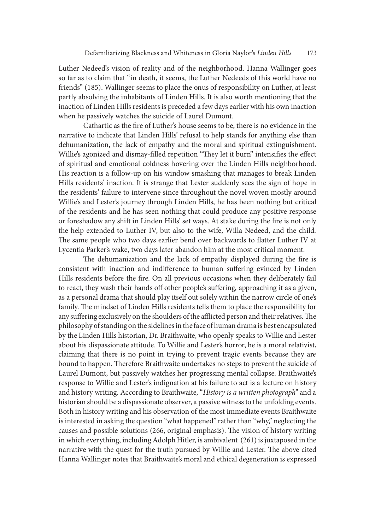Luther Nedeed's vision of reality and of the neighborhood. Hanna Wallinger goes so far as to claim that "in death, it seems, the Luther Nedeeds of this world have no friends" (185). Wallinger seems to place the onus of responsibility on Luther, at least partly absolving the inhabitants of Linden Hills. It is also worth mentioning that the inaction of Linden Hills residents is preceded a few days earlier with his own inaction when he passively watches the suicide of Laurel Dumont.

Cathartic as the fire of Luther's house seems to be, there is no evidence in the narrative to indicate that Linden Hills' refusal to help stands for anything else than dehumanization, the lack of empathy and the moral and spiritual extinguishment. Willie's agonized and dismay-filled repetition "They let it burn" intensifies the effect of spiritual and emotional coldness hovering over the Linden Hills neighborhood. His reaction is a follow-up on his window smashing that manages to break Linden Hills residents' inaction. It is strange that Lester suddenly sees the sign of hope in the residents' failure to intervene since throughout the novel woven mostly around Willie's and Lester's journey through Linden Hills, he has been nothing but critical of the residents and he has seen nothing that could produce any positive response or foreshadow any shift in Linden Hills' set ways. At stake during the fire is not only the help extended to Luther IV, but also to the wife, Willa Nedeed, and the child. The same people who two days earlier bend over backwards to flatter Luther IV at Lycentia Parker's wake, two days later abandon him at the most critical moment.

The dehumanization and the lack of empathy displayed during the fire is consistent with inaction and indifference to human suffering evinced by Linden Hills residents before the fire. On all previous occasions when they deliberately fail to react, they wash their hands off other people's suffering, approaching it as a given, as a personal drama that should play itself out solely within the narrow circle of one's family. The mindset of Linden Hills residents tells them to place the responsibility for any suffering exclusively on the shoulders of the afflicted person and their relatives. The philosophy of standing on the sidelines in the face of human drama is best encapsulated by the Linden Hills historian, Dr. Braithwaite, who openly speaks to Willie and Lester about his dispassionate attitude. To Willie and Lester's horror, he is a moral relativist, claiming that there is no point in trying to prevent tragic events because they are bound to happen. Therefore Braithwaite undertakes no steps to prevent the suicide of Laurel Dumont, but passively watches her progressing mental collapse. Braithwaite's response to Willie and Lester's indignation at his failure to act is a lecture on history and history writing. According to Braithwaite, "History is a written photograph" and a historian should be a dispassionate observer, a passive witness to the unfolding events. Both in history writing and his observation of the most immediate events Braithwaite is interested in asking the question "what happened" rather than "why," neglecting the causes and possible solutions (266, original emphasis). The vision of history writing in which everything, including Adolph Hitler, is ambivalent (261) is juxtaposed in the narrative with the quest for the truth pursued by Willie and Lester. The above cited Hanna Wallinger notes that Braithwaite's moral and ethical degeneration is expressed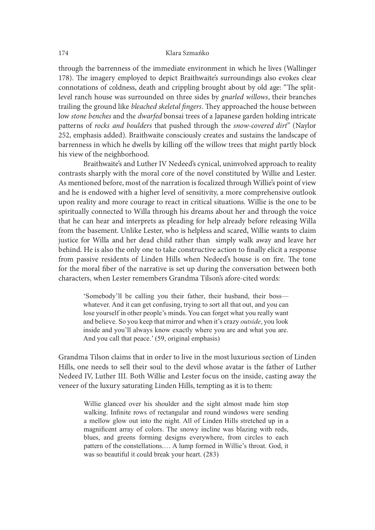through the barrenness of the immediate environment in which he lives (Wallinger 178). The imagery employed to depict Braithwaite's surroundings also evokes clear connotations of coldness, death and crippling brought about by old age: "The splitlevel ranch house was surrounded on three sides by gnarled willows, their branches trailing the ground like bleached skeletal fingers. They approached the house between low stone benches and the dwarfed bonsai trees of a Japanese garden holding intricate patterns of rocks and boulders that pushed through the snow-covered dirt" (Naylor 252, emphasis added). Braithwaite consciously creates and sustains the landscape of barrenness in which he dwells by killing off the willow trees that might partly block his view of the neighborhood.

Braithwaite's and Luther IV Nedeed's cynical, uninvolved approach to reality contrasts sharply with the moral core of the novel constituted by Willie and Lester. As mentioned before, most of the narration is focalized through Willie's point of view and he is endowed with a higher level of sensitivity, a more comprehensive outlook upon reality and more courage to react in critical situations. Willie is the one to be spiritually connected to Willa through his dreams about her and through the voice that he can hear and interprets as pleading for help already before releasing Willa from the basement. Unlike Lester, who is helpless and scared, Willie wants to claim justice for Willa and her dead child rather than simply walk away and leave her behind. He is also the only one to take constructive action to finally elicit a response from passive residents of Linden Hills when Nedeed's house is on fire. The tone for the moral fiber of the narrative is set up during the conversation between both characters, when Lester remembers Grandma Tilson's afore-cited words:

'Somebody'll be calling you their father, their husband, their boss whatever. And it can get confusing, trying to sort all that out, and you can lose yourself in other people's minds. You can forget what you really want and believe. So you keep that mirror and when it's crazy *outside*, you look inside and you'll always know exactly where you are and what you are. And you call that peace.' (59, original emphasis)

Grandma Tilson claims that in order to live in the most luxurious section of Linden Hills, one needs to sell their soul to the devil whose avatar is the father of Luther Nedeed IV, Luther III. Both Willie and Lester focus on the inside, casting away the veneer of the luxury saturating Linden Hills, tempting as it is to them:

He is also the only one to take constructive action to finally elicit a response<br>siste residents of Linden Hills when Nedeed's house is on fire. The tone<br>forced is one of the narrative is set up during the conversation bet walking. Infinite rows of rectangular and round windows were sending noral fiber of the narrative is set up during the conversation between both<br>rs, when Lester remembers Grandma Tilson's afore-cited words.<br>'Somebody'll be calling you their father, their husband, their boss—<br>whatever. And i magnificent array of colors. The snowy incline was blazing with reds, "Somebody" II be calling you their father, their husband, their boss—<br>whatever. And it can get confusing, trying to sort all that out, and you can<br>lose yousele in other people's minds. You can forget what you really want<br>a pattern of the constellations.… A lump formed in Willie's throat. God, it was so beautiful it could break your heart.(283)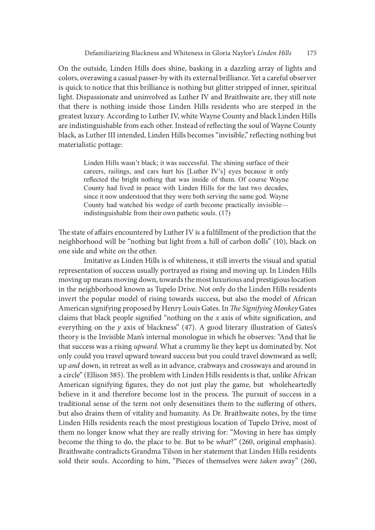On the outside, Linden Hills does shine, basking in a dazzling array of lights and colors, overawing a casual passer-by with its external brilliance. Yet a careful observer is quick to notice that this brilliance is nothing but glitter stripped of inner, spiritual light. Dispassionate and uninvolved as Luther IV and Braithwaite are, they still note that there is nothing inside those Linden Hills residents who are steeped in the greatest luxury. According to Luther IV, white Wayne County and black Linden Hills are indistinguishable from each other. Instead of reflecting the soul of Wayne County black, as Luther III intended, Linden Hills becomes "invisible," reflecting nothing but materialistic pottage:

Linden Hills wasn't black; it was successful. The shining surface of their careers, railings, and cars hurt his [Luther IV's] eyes because it only reflected the bright nothing that was inside of them. Of course Wayne County had lived in peace with Linden Hills for the last two decades, since it now understood that they were both serving the same god. Wayne County had watched his wedge of earth become practically invisible indistinguishable from their own pathetic souls.  $(17)$ 

The state of affairs encountered by Luther IV is a fulfillment of the prediction that the neighborhood will be "nothing but light from a hill of carbon dolls" (10), black on one side and white on the other.

 Imitative as Linden Hills is of whiteness, it still inverts the visual and spatial representation of success usually portrayed as rising and moving up. In Linden Hills moving up means moving down, towards the most luxurious and prestigious location in the neighborhood known as Tupelo Drive. Not only do the Linden Hills residents invert the popular model of rising towards success, but also the model of African American signifying proposed by Henry Louis Gates. In The Signifying Monkey Gates claims that black people signified "nothing on the  $x$  axis of white signification, and everything on the  $y$  axis of blackness" (47). A good literary illustration of Gates's theory is the Invisible Man's internal monologue in which he observes: "And that lie that success was a rising *upward*. What a crummy lie they kept us dominated by. Not only could you travel upward toward success but you could travel downward as well; up and down, in retreat as well as in advance, crabways and crossways and around in a circle" (Ellison 385). The problem with Linden Hills residents is that, unlike African American signifying figures, they do not just play the game, but wholeheartedly believe in it and therefore become lost in the process. The pursuit of success in a traditional sense of the term not only desensitizes them to the suffering of others, but also drains them of vitality and humanity. As Dr. Braithwaite notes, by the time Linden Hills residents reach the most prestigious location of Tupelo Drive, most of them no longer know what they are really striving for: "Moving in here has simply become the thing to do, the place to be. But to be what?" (260, original emphasis). Braithwaite contradicts Grandma Tilson in her statement that Linden Hills residents sold their souls. According to him, "Pieces of themselves were taken away" (260,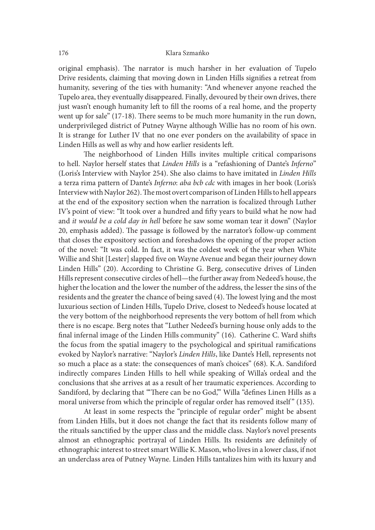original emphasis). The narrator is much harsher in her evaluation of Tupelo Drive residents, claiming that moving down in Linden Hills signifies a retreat from humanity, severing of the ties with humanity: "And whenever anyone reached the Tupelo area, they eventually disappeared. Finally, devoured by their own drives, there just wasn't enough humanity left to fill the rooms of a real home, and the property went up for sale"  $(17-18)$ . There seems to be much more humanity in the run down, underprivileged district of Putney Wayne although Willie has no room of his own. It is strange for Luther IV that no one ever ponders on the availability of space in Linden Hills as well as why and how earlier residents let.

The neighborhood of Linden Hills invites multiple critical comparisons to hell. Naylor herself states that Linden Hills is a "refashioning of Dante's Inferno" (Loris's Interview with Naylor 254). She also claims to have imitated in Linden Hills a terza rima pattern of Dante's Inferno: aba bcb cdc with images in her book (Loris's Interview with Naylor 262). The most overt comparison of Linden Hills to hell appears at the end of the expository section when the narration is focalized through Luther IV's point of view: "It took over a hundred and fifty years to build what he now had and it would be a cold day in hell before he saw some woman tear it down" (Naylor 20, emphasis added). The passage is followed by the narrator's follow-up comment that closes the expository section and foreshadows the opening of the proper action of the novel: "It was cold. In fact, it was the coldest week of the year when White Willie and Shit [Lester] slapped five on Wayne Avenue and began their journey down Linden Hills" (20). According to Christine G. Berg, consecutive drives of Linden Hills represent consecutive circles of hell—the further away from Nedeed's house, the higher the location and the lower the number of the address, the lesser the sins of the residents and the greater the chance of being saved (4). The lowest lying and the most luxurious section of Linden Hills, Tupelo Drive, closest to Nedeed's house located at the very bottom of the neighborhood represents the very bottom of hell from which there is no escape. Berg notes that "Luther Nedeed's burning house only adds to the final infernal image of the Linden Hills community" (16). Catherine C. Ward shifts the focus from the spatial imagery to the psychological and spiritual ramifications evoked by Naylor's narrative: "Naylor's Linden Hills, like Dante's Hell, represents not so much a place as a state: the consequences of man's choices" (68). K.A. Sandiford indirectly compares Linden Hills to hell while speaking of Willa's ordeal and the conclusions that she arrives at as a result of her traumatic experiences. According to Sandiford, by declaring that "There can be no God," Willa "defines Linen Hills as a final infernal image of the Linden Hills community" (16). Catherine C. Ward shifts<br>the focus from the spatial imagery to the psychological and spiritual ramifications<br>evoked by Naylor's narrative: "Naylor's Linden Hills, l

 At least in some respects the "principle of regular order" might be absent from Linden Hills, but it does not change the fact that its residents follow many of the rituals sanctified by the upper class and the middle class. Naylor's novel presents almost an ethnographic portrayal of Linden Hills. Its residents are definitely of ethnographic interest to street smart Willie K. Mason, who lives in a lower class, if not an underclass area of Putney Wayne. Linden Hills tantalizes him with its luxury and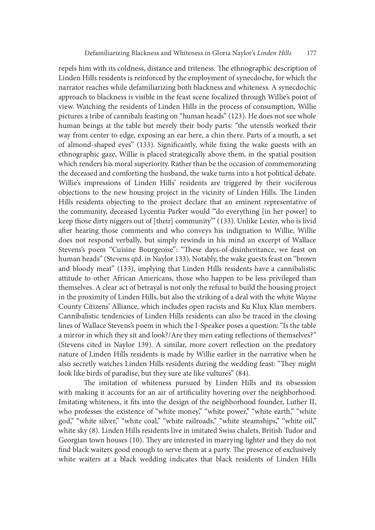repels him with its coldness, distance and triteness. The ethnographic description of Linden Hills residents is reinforced by the employment of synecdoche, for which the narrator reaches while defamiliarizing both blackness and whiteness. A synecdochic approach to blackness is visible in the feast scene focalized through Willie's point of view. Watching the residents of Linden Hills in the process of consumption, Willie pictures a tribe of cannibals feasting on "human heads" (123). He does not see whole human beings at the table but merely their body parts: "the utensils worked their way from center to edge, exposing an ear here, a chin there. Parts of a mouth, a set of almond-shaped eyes" (133). Significantly, while fixing the wake guests with an ethnographic gaze, Willie is placed strategically above them, in the spatial position which renders his moral superiority. Rather than be the occasion of commemorating the deceased and comforting the husband, the wake turns into a hot political debate. Willie's impressions of Linden Hills' residents are triggered by their vociferous objections to the new housing project in the vicinity of Linden Hills. The Linden Hills residents objecting to the project declare that an eminent representative of the community, deceased Lycentia Parker would "'do everything [in her power] to keep those dirty niggers out of [their] community'" (133). Unlike Lester, who is livid ater hearing those comments and who conveys his indignation to Willie, Willie does not respond verbally, but simply rewinds in his mind an excerpt of Wallace Stevens's poem "Cuisine Bourgeoise": "These days-of-disinheritance, we feast on human heads" (Stevens qtd. in Naylor 133). Notably, the wake guests feast on "brown and bloody meat" (133), implying that Linden Hills residents have a cannibalistic attitude to other African Americans, those who happen to be less privileged than themselves. A clear act of betrayal is not only the refusal to build the housing project in the proximity of Linden Hills, but also the striking of a deal with the white Wayne County Citizens' Alliance, which includes open racists and Ku Klux Klan members. Cannibalistic tendencies of Linden Hills residents can also be traced in the closing lines of Wallace Stevens's poem in which the I-Speaker poses a question: "Is the table a mirror in which they sit and look?/Are they men eating reflections of themselves?" (Stevens cited in Naylor 139). A similar, more covert reflection on the predatory nature of Linden Hills residents is made by Willie earlier in the narrative when he also secretly watches Linden Hills residents during the wedding feast: "They might look like birds of paradise, but they sure ate like vultures" (84).

The imitation of whiteness pursued by Linden Hills and its obsession with making it accounts for an air of artificiality hovering over the neighborhood. Imitating whiteness, it fits into the design of the neighborhood founder, Luther II, who professes the existence of "white money," "white power," "white earth," "white god," "white silver," "white coal," "white railroads," "white steamships," "white oil," white sky (8). Linden Hills residents live in imitated Swiss chalets, British Tudor and Georgian town houses (10). They are interested in marrying lighter and they do not find black waiters good enough to serve them at a party. The presence of exclusively white waiters at a black wedding indicates that black residents of Linden Hills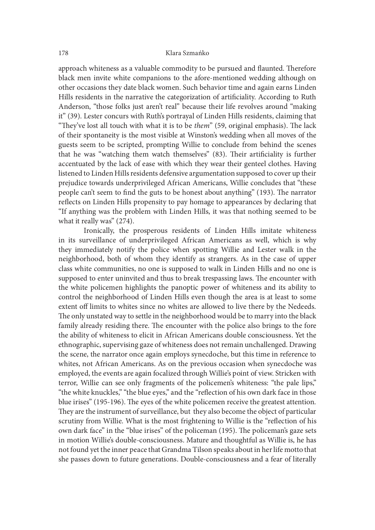approach whiteness as a valuable commodity to be pursued and flaunted. Therefore black men invite white companions to the afore-mentioned wedding although on other occasions they date black women. Such behavior time and again earns Linden Hills residents in the narrative the categorization of artificiality. According to Ruth Anderson, "those folks just aren't real" because their life revolves around "making it" (39). Lester concurs with Ruth's portrayal of Linden Hills residents, claiming that "They've lost all touch with what it is to be *them*" (59, original emphasis). The lack of their spontaneity is the most visible at Winston's wedding when all moves of the guests seem to be scripted, prompting Willie to conclude from behind the scenes that he was "watching them watch themselves" (83). Their artificiality is further accentuated by the lack of ease with which they wear their genteel clothes. Having listened to Linden Hills residents defensive argumentation supposed to cover up their prejudice towards underprivileged African Americans, Willie concludes that "these people can't seem to find the guts to be honest about anything" (193). The narrator reflects on Linden Hills propensity to pay homage to appearances by declaring that "If anything was the problem with Linden Hills, it was that nothing seemed to be what it really was" (274).

 Ironically, the prosperous residents of Linden Hills imitate whiteness in its surveillance of underprivileged African Americans as well, which is why they immediately notify the police when spotting Willie and Lester walk in the neighborhood, both of whom they identify as strangers. As in the case of upper class white communities, no one is supposed to walk in Linden Hills and no one is supposed to enter uninvited and thus to break trespassing laws. The encounter with the white policemen highlights the panoptic power of whiteness and its ability to control the neighborhood of Linden Hills even though the area is at least to some extent off limits to whites since no whites are allowed to live there by the Nedeeds. The only unstated way to settle in the neighborhood would be to marry into the black family already residing there. The encounter with the police also brings to the fore the ability of whiteness to elicit in African Americans double consciousness. Yet the ethnographic, supervising gaze of whiteness does not remain unchallenged. Drawing the scene, the narrator once again employs synecdoche, but this time in reference to whites, not African Americans. As on the previous occasion when synecdoche was employed, the events are again focalized through Willie's point of view. Stricken with terror, Willie can see only fragments of the policemen's whiteness: "the pale lips," "the white knuckles," "the blue eyes," and the "re{ection of his own dark face in those blue irises" (195-196). The eyes of the white policemen receive the greatest attention. They are the instrument of surveillance, but they also become the object of particular scrutiny from Willie. What is the most frightening to Willie is the "reflection of his own dark face" in the "blue irises" of the policeman (195). The policeman's gaze sets in motion Willie's double-consciousness. Mature and thoughtful as Willie is, he has not found yet the inner peace that Grandma Tilson speaks about in her life motto that she passes down to future generations. Double-consciousness and a fear of literally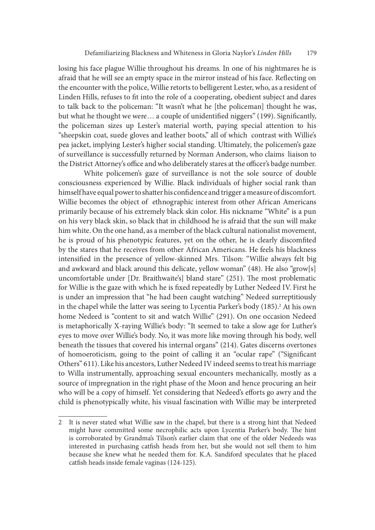losing his face plague Willie throughout his dreams. In one of his nightmares he is afraid that he will see an empty space in the mirror instead of his face. Reflecting on the encounter with the police, Willie retorts to belligerent Lester, who, as a resident of Linden Hills, refuses to fit into the role of a cooperating, obedient subject and dares to talk back to the policeman: "It wasn't what he [the policeman] thought he was, but what he thought we were... a couple of unidentified niggers" (199). Significantly, the policeman sizes up Lester's material worth, paying special attention to his "sheepskin coat, suede gloves and leather boots," all of which contrast with Willie's pea jacket, implying Lester's higher social standing. Ultimately, the policemen's gaze of surveillance is successfully returned by Norman Anderson, who claims liaison to the District Attorney's office and who deliberately stares at the officer's badge number.

 White policemen's gaze of surveillance is not the sole source of double consciousness experienced by Willie. Black individuals of higher social rank than himself have equal power to shatter his confidence and trigger a measure of discomfort. Willie becomes the object of ethnographic interest from other African Americans primarily because of his extremely black skin color. His nickname "White" is a pun on his very black skin, so black that in childhood he is afraid that the sun will make him white. On the one hand, as a member of the black cultural nationalist movement, he is proud of his phenotypic features, yet on the other, he is clearly discomfited by the stares that he receives from other African Americans. He feels his blackness intensified in the presence of yellow-skinned Mrs. Tilson: "Willie always felt big and awkward and black around this delicate, yellow woman" (48). He also "grow[s] uncomfortable under [Dr. Braithwaite's] bland stare" (251). The most problematic for Willie is the gaze with which he is fixed repeatedly by Luther Nedeed IV. First he is under an impression that "he had been caught watching" Nedeed surreptitiously in the chapel while the latter was seeing to Lycentia Parker's body (185).<sup>2</sup> At his own home Nedeed is "content to sit and watch Willie" (291). On one occasion Nedeed is metaphorically X-raying Willie's body: "It seemed to take a slow age for Luther's eyes to move over Willie's body. No, it was more like moving through his body, well beneath the tissues that covered his internal organs" (214). Gates discerns overtones of homoeroticism, going to the point of calling it an "ocular rape" ("Significant Others" 611). Like his ancestors, Luther Nedeed IV indeed seems to treat his marriage to Willa instrumentally, approaching sexual encounters mechanically, mostly as a source of impregnation in the right phase of the Moon and hence procuring an heir who will be a copy of himself. Yet considering that Nedeed's efforts go awry and the child is phenotypically white, his visual fascination with Willie may be interpreted

<sup>2</sup> It is never stated what Willie saw in the chapel, but there is a strong hint that Nedeed might have committed some necrophilic acts upon Lycentia Parker's body. The hint is corroborated by Grandma's Tilson's earlier claim that one of the older Nedeeds was interested in purchasing catfish heads from her, but she would not sell them to him because she knew what he needed them for. K.A. Sandiford speculates that he placed catfish heads inside female vaginas (124-125).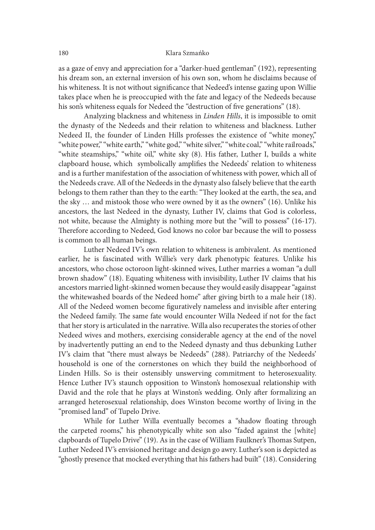as a gaze of envy and appreciation for a "darker-hued gentleman" (192), representing his dream son, an external inversion of his own son, whom he disclaims because of his whiteness. It is not without significance that Nedeed's intense gazing upon Willie takes place when he is preoccupied with the fate and legacy of the Nedeeds because his son's whiteness equals for Nedeed the "destruction of five generations" (18).

 Analyzing blackness and whiteness in Linden Hills, it is impossible to omit the dynasty of the Nedeeds and their relation to whiteness and blackness. Luther Nedeed II, the founder of Linden Hills professes the existence of "white money," "white power," "white earth," "white god," "white silver," "white coal," "white railroads," "white steamships," "white oil," white sky (8). His father, Luther I, builds a white clapboard house, which symbolically amplifies the Nedeeds' relation to whiteness and is a further manifestation of the association of whiteness with power, which all of the Nedeeds crave. All of the Nedeeds in the dynasty also falsely believe that the earth belongs to them rather than they to the earth: "They looked at the earth, the sea, and the sky … and mistook those who were owned by it as the owners" (16). Unlike his ancestors, the last Nedeed in the dynasty, Luther IV, claims that God is colorless, not white, because the Almighty is nothing more but the "will to possess" (16-17). Therefore according to Nedeed, God knows no color bar because the will to possess is common to all human beings.

 Luther Nedeed IV's own relation to whiteness is ambivalent. As mentioned earlier, he is fascinated with Willie's very dark phenotypic features. Unlike his ancestors, who chose octoroon light-skinned wives, Luther marries a woman "a dull brown shadow" (18). Equating whiteness with invisibility, Luther IV claims that his ancestors married light-skinned women because they would easily disappear "against the whitewashed boards of the Nedeed home" ater giving birth to a male heir (18). All of the Nedeed women become figuratively nameless and invisible after entering the Nedeed family. The same fate would encounter Willa Nedeed if not for the fact that her story is articulated in the narrative. Willa also recuperates the stories of other Nedeed wives and mothers, exercising considerable agency at the end of the novel by inadvertently putting an end to the Nedeed dynasty and thus debunking Luther IV's claim that "there must always be Nedeeds" (288). Patriarchy of the Nedeeds' household is one of the cornerstones on which they build the neighborhood of Linden Hills. So is their ostensibly unswerving commitment to heterosexuality. Hence Luther IV's staunch opposition to Winston's homosexual relationship with David and the role that he plays at Winston's wedding. Only ater formalizing an arranged heterosexual relationship, does Winston become worthy of living in the "promised land" of Tupelo Drive.

While for Luther Willa eventually becomes a "shadow floating through the carpeted rooms," his phenotypically white son also "faded against the [white] clapboards of Tupelo Drive" (19). As in the case of William Faulkner's Thomas Sutpen, Luther Nedeed IV's envisioned heritage and design go awry. Luther's son is depicted as "ghostly presence that mocked everything that his fathers had built" (18). Considering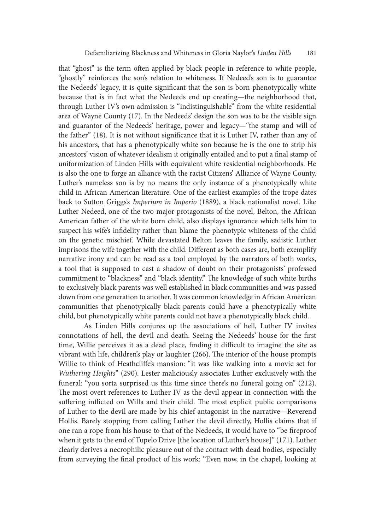that "ghost" is the term oten applied by black people in reference to white people, "ghostly" reinforces the son's relation to whiteness. If Nedeed's son is to guarantee the Nedeeds' legacy, it is quite significant that the son is born phenotypically white because that is in fact what the Nedeeds end up creating—the neighborhood that, through Luther IV's own admission is "indistinguishable" from the white residential area of Wayne County (17). In the Nedeeds' design the son was to be the visible sign and guarantor of the Nedeeds' heritage, power and legacy—"the stamp and will of the father" (18). It is not without significance that it is Luther IV, rather than any of his ancestors, that has a phenotypically white son because he is the one to strip his ancestors' vision of whatever idealism it originally entailed and to put a final stamp of uniformization of Linden Hills with equivalent white residential neighborhoods. He is also the one to forge an alliance with the racist Citizens' Alliance of Wayne County. Luther's nameless son is by no means the only instance of a phenotypically white child in African American literature. One of the earliest examples of the trope dates back to Sutton Griggs's Imperium in Imperio (1889), a black nationalist novel. Like Luther Nedeed, one of the two major protagonists of the novel, Belton, the African American father of the white born child, also displays ignorance which tells him to suspect his wife's infidelity rather than blame the phenotypic whiteness of the child on the genetic mischief. While devastated Belton leaves the family, sadistic Luther imprisons the wife together with the child. Different as both cases are, both exemplify narrative irony and can be read as a tool employed by the narrators of both works, a tool that is supposed to cast a shadow of doubt on their protagonists' professed commitment to "blackness" and "black identity." The knowledge of such white births to exclusively black parents was well established in black communities and was passed down from one generation to another. It was common knowledge in African American communities that phenotypically black parents could have a phenotypically white child, but phenotypically white parents could not have a phenotypically black child.

 As Linden Hills conjures up the associations of hell, Luther IV invites connotations of hell, the devil and death. Seeing the Nedeeds' house for the first time, Willie perceives it as a dead place, finding it difficult to imagine the site as vibrant with life, children's play or laughter  $(266)$ . The interior of the house prompts Willie to think of Heathcliffe's mansion: "it was like walking into a movie set for Wuthering Heights" (290). Lester maliciously associates Luther exclusively with the funeral: "you sorta surprised us this time since there's no funeral going on" (212). The most overt references to Luther IV as the devil appear in connection with the suffering inflicted on Willa and their child. The most explicit public comparisons of Luther to the devil are made by his chief antagonist in the narrative—Reverend Hollis. Barely stopping from calling Luther the devil directly, Hollis claims that if one ran a rope from his house to that of the Nedeeds, it would have to "be fireproof when it gets to the end of Tupelo Drive [the location of Luther's house]" (171). Luther clearly derives a necrophilic pleasure out of the contact with dead bodies, especially from surveying the final product of his work: "Even now, in the chapel, looking at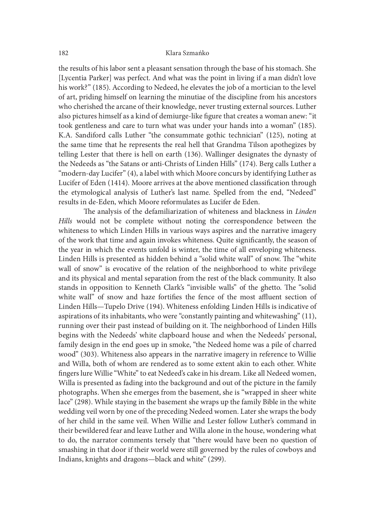the results of his labor sent a pleasant sensation through the base of his stomach. She [Lycentia Parker] was perfect. And what was the point in living if a man didn't love his work?" (185). According to Nedeed, he elevates the job of a mortician to the level of art, priding himself on learning the minutiae of the discipline from his ancestors who cherished the arcane of their knowledge, never trusting external sources. Luther also pictures himself as a kind of demiurge-like figure that creates a woman anew: "it took gentleness and care to turn what was under your hands into a woman" (185). K.A. Sandiford calls Luther "the consummate gothic technician" (125), noting at the same time that he represents the real hell that Grandma Tilson apothegizes by telling Lester that there is hell on earth (136). Wallinger designates the dynasty of the Nedeeds as "the Satans or anti-Christs of Linden Hills" (174). Berg calls Luther a "modern-day Lucifer" (4), a label with which Moore concurs by identifying Luther as Lucifer of Eden (1414). Moore arrives at the above mentioned classification through the etymological analysis of Luther's last name. Spelled from the end, "Nedeed" results in de-Eden, which Moore reformulates as Lucifer de Eden.

The analysis of the defamiliarization of whiteness and blackness in Linden Hills would not be complete without noting the correspondence between the whiteness to which Linden Hills in various ways aspires and the narrative imagery of the work that time and again invokes whiteness. Quite significantly, the season of the year in which the events unfold is winter, the time of all enveloping whiteness. Linden Hills is presented as hidden behind a "solid white wall" of snow. The "white wall of snow" is evocative of the relation of the neighborhood to white privilege and its physical and mental separation from the rest of the black community. It also stands in opposition to Kenneth Clark's "invisible walls" of the ghetto. The "solid white wall" of snow and haze fortifies the fence of the most affluent section of Linden Hills—Tupelo Drive (194). Whiteness enfolding Linden Hills is indicative of aspirations of its inhabitants, who were "constantly painting and whitewashing" (11), running over their past instead of building on it. The neighborhood of Linden Hills begins with the Nedeeds' white clapboard house and when the Nedeeds' personal, family design in the end goes up in smoke, "the Nedeed home was a pile of charred wood" (303). Whiteness also appears in the narrative imagery in reference to Willie and Willa, both of whom are rendered as to some extent akin to each other. White fingers lure Willie "White" to eat Nedeed's cake in his dream. Like all Nedeed women, Willa is presented as fading into the background and out of the picture in the family photographs. When she emerges from the basement, she is "wrapped in sheer white lace" (298). While staying in the basement she wraps up the family Bible in the white wedding veil worn by one of the preceding Nedeed women. Later she wraps the body of her child in the same veil. When Willie and Lester follow Luther's command in their bewildered fear and leave Luther and Willa alone in the house, wondering what to do, the narrator comments tersely that "there would have been no question of smashing in that door if their world were still governed by the rules of cowboys and Indians, knights and dragons—black and white" (299).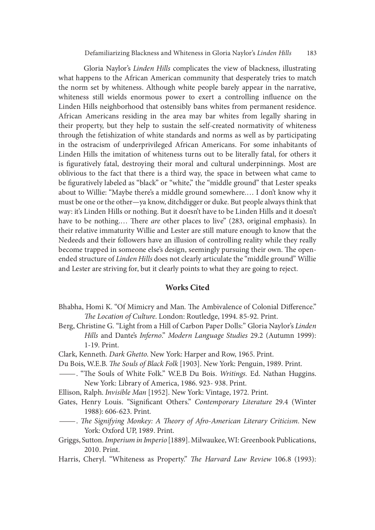Gloria Naylor's Linden Hills complicates the view of blackness, illustrating what happens to the African American community that desperately tries to match the norm set by whiteness. Although white people barely appear in the narrative, whiteness still wields enormous power to exert a controlling influence on the Linden Hills neighborhood that ostensibly bans whites from permanent residence. African Americans residing in the area may bar whites from legally sharing in their property, but they help to sustain the self-created normativity of whiteness through the fetishization of white standards and norms as well as by participating in the ostracism of underprivileged African Americans. For some inhabitants of Linden Hills the imitation of whiteness turns out to be literally fatal, for others it is figuratively fatal, destroying their moral and cultural underpinnings. Most are oblivious to the fact that there is a third way, the space in between what came to be figuratively labeled as "black" or "white," the "middle ground" that Lester speaks about to Willie: "Maybe there's a middle ground somewhere.… I don't know why it must be one or the other—ya know, ditchdigger or duke. But people always think that way: it's Linden Hills or nothing. But it doesn't have to be Linden Hills and it doesn't have to be nothing.... There are other places to live" (283, original emphasis). In their relative immaturity Willie and Lester are still mature enough to know that the Nedeeds and their followers have an illusion of controlling reality while they really become trapped in someone else's design, seemingly pursuing their own. The openended structure of Linden Hills does not clearly articulate the "middle ground" Willie and Lester are striving for, but it clearly points to what they are going to reject.

### Works Cited

- Bhabha, Homi K. "Of Mimicry and Man. The Ambivalence of Colonial Difference." The Location of Culture. London: Routledge, 1994. 85-92. Print.
- Berg, Christine G. "Light from a Hill of Carbon Paper Dolls:" Gloria Naylor's Linden Hills and Dante's Inferno." Modern Language Studies 29.2 (Autumn 1999): 1-19. Print.
- Clark, Kenneth. Dark Ghetto. New York: Harper and Row, 1965. Print.
- Du Bois, W.E.B. *The Souls of Black Folk* [1903]. New York: Penguin, 1989. Print. —. "The Souls of White Folk." W.E.B Du Bois. *Writings*. Ed. Nathan Huggins.
- New York: Library of America, 1986. 923- 938. Print.
- Ellison, Ralph. Invisible Man [1952]. New York: Vintage, 1972. Print.
- Gates, Henry Louis. "Significant Others." Contemporary Literature 29.4 (Winter 1988): 606-623. Print.<br>- act Afro-American Literary Criticism. New.<br>- The Signifying Monkey: A Theory of Afro-American Literary Criticism. New.
- York: Oxford UP, 1989. Print.
- Griggs, Sutton. Imperium in Imperio [1889]. Milwaukee, WI: Greenbook Publications, 2010. Print.
- Harris, Cheryl. "Whiteness as Property." The Harvard Law Review 106.8 (1993):